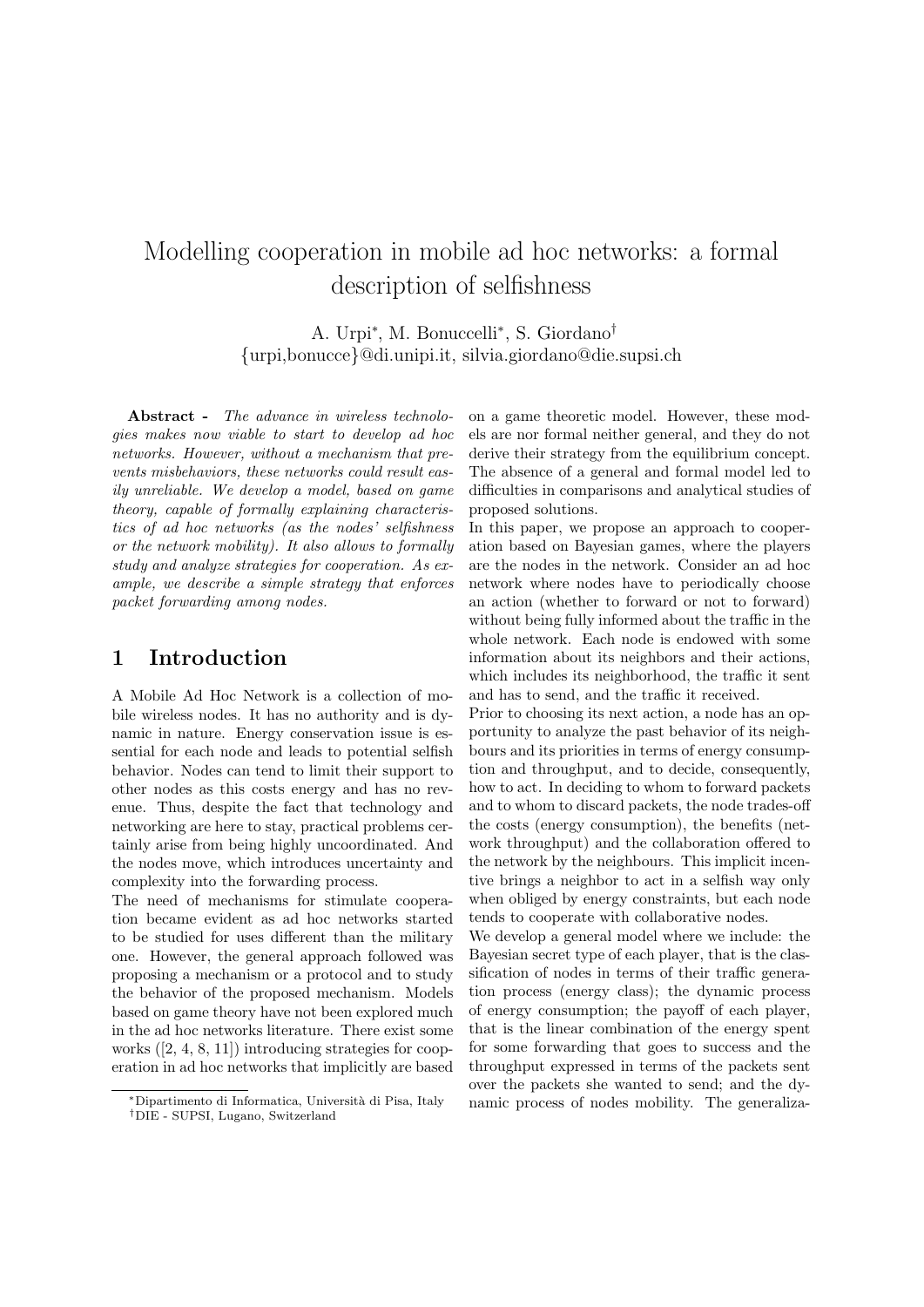# Modelling cooperation in mobile ad hoc networks: a formal description of selfishness

A. Urpi<sup>∗</sup> , M. Bonuccelli<sup>∗</sup> , S. Giordano† {urpi,bonucce}@di.unipi.it, silvia.giordano@die.supsi.ch

Abstract - The advance in wireless technologies makes now viable to start to develop ad hoc networks. However, without a mechanism that prevents misbehaviors, these networks could result easily unreliable. We develop a model, based on game theory, capable of formally explaining characteristics of ad hoc networks (as the nodes' selfishness or the network mobility). It also allows to formally study and analyze strategies for cooperation. As example, we describe a simple strategy that enforces packet forwarding among nodes.

### 1 Introduction

A Mobile Ad Hoc Network is a collection of mobile wireless nodes. It has no authority and is dynamic in nature. Energy conservation issue is essential for each node and leads to potential selfish behavior. Nodes can tend to limit their support to other nodes as this costs energy and has no revenue. Thus, despite the fact that technology and networking are here to stay, practical problems certainly arise from being highly uncoordinated. And the nodes move, which introduces uncertainty and complexity into the forwarding process.

The need of mechanisms for stimulate cooperation became evident as ad hoc networks started to be studied for uses different than the military one. However, the general approach followed was proposing a mechanism or a protocol and to study the behavior of the proposed mechanism. Models based on game theory have not been explored much in the ad hoc networks literature. There exist some works ([2, 4, 8, 11]) introducing strategies for cooperation in ad hoc networks that implicitly are based on a game theoretic model. However, these models are nor formal neither general, and they do not derive their strategy from the equilibrium concept. The absence of a general and formal model led to difficulties in comparisons and analytical studies of proposed solutions.

In this paper, we propose an approach to cooperation based on Bayesian games, where the players are the nodes in the network. Consider an ad hoc network where nodes have to periodically choose an action (whether to forward or not to forward) without being fully informed about the traffic in the whole network. Each node is endowed with some information about its neighbors and their actions, which includes its neighborhood, the traffic it sent and has to send, and the traffic it received.

Prior to choosing its next action, a node has an opportunity to analyze the past behavior of its neighbours and its priorities in terms of energy consumption and throughput, and to decide, consequently, how to act. In deciding to whom to forward packets and to whom to discard packets, the node trades-off the costs (energy consumption), the benefits (network throughput) and the collaboration offered to the network by the neighbours. This implicit incentive brings a neighbor to act in a selfish way only when obliged by energy constraints, but each node tends to cooperate with collaborative nodes.

We develop a general model where we include: the Bayesian secret type of each player, that is the classification of nodes in terms of their traffic generation process (energy class); the dynamic process of energy consumption; the payoff of each player, that is the linear combination of the energy spent for some forwarding that goes to success and the throughput expressed in terms of the packets sent over the packets she wanted to send; and the dynamic process of nodes mobility. The generaliza-

<sup>∗</sup>Dipartimento di Informatica, Universit`a di Pisa, Italy †DIE - SUPSI, Lugano, Switzerland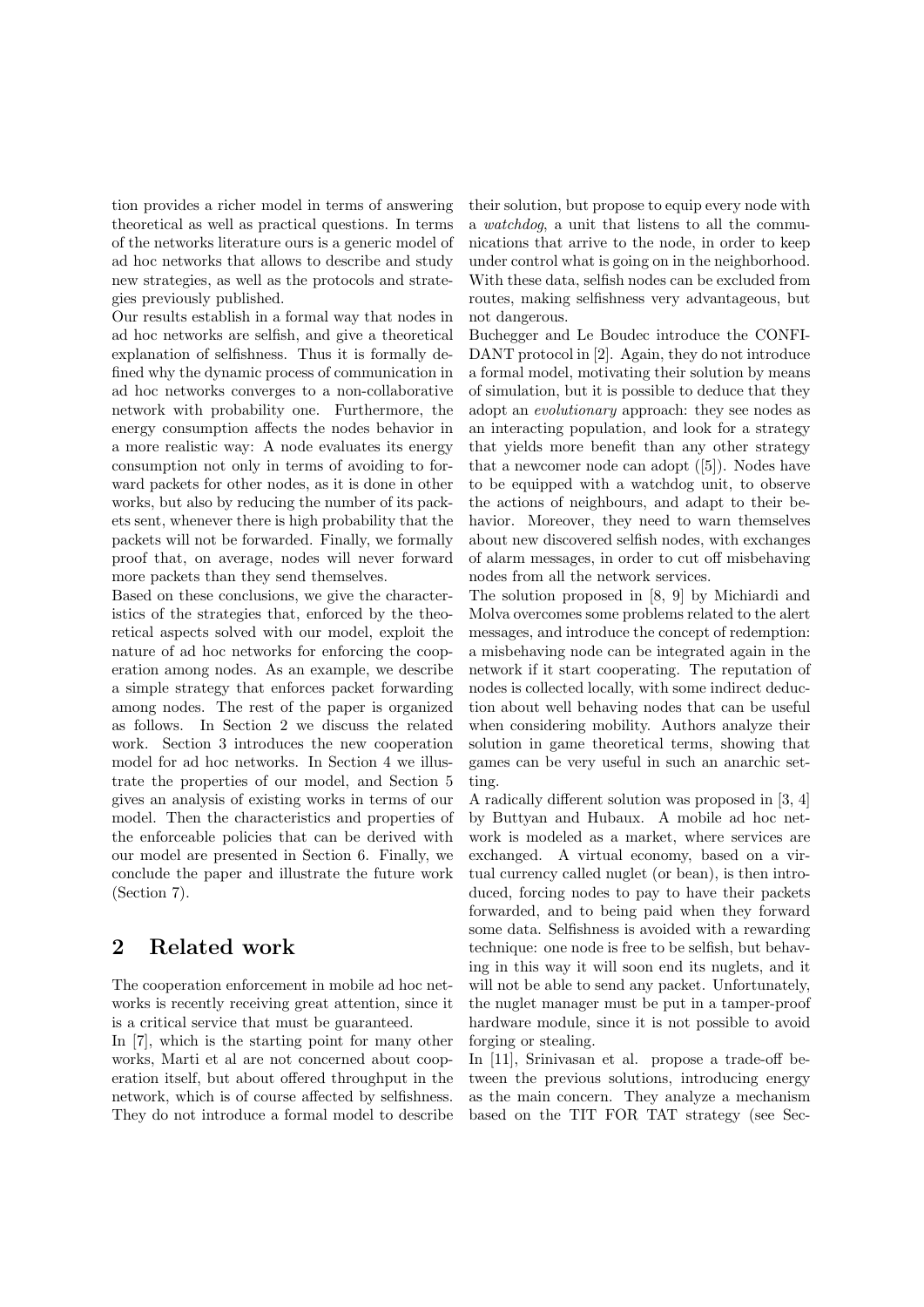tion provides a richer model in terms of answering theoretical as well as practical questions. In terms of the networks literature ours is a generic model of ad hoc networks that allows to describe and study new strategies, as well as the protocols and strategies previously published.

Our results establish in a formal way that nodes in ad hoc networks are selfish, and give a theoretical explanation of selfishness. Thus it is formally defined why the dynamic process of communication in ad hoc networks converges to a non-collaborative network with probability one. Furthermore, the energy consumption affects the nodes behavior in a more realistic way: A node evaluates its energy consumption not only in terms of avoiding to forward packets for other nodes, as it is done in other works, but also by reducing the number of its packets sent, whenever there is high probability that the packets will not be forwarded. Finally, we formally proof that, on average, nodes will never forward more packets than they send themselves.

Based on these conclusions, we give the characteristics of the strategies that, enforced by the theoretical aspects solved with our model, exploit the nature of ad hoc networks for enforcing the cooperation among nodes. As an example, we describe a simple strategy that enforces packet forwarding among nodes. The rest of the paper is organized as follows. In Section 2 we discuss the related work. Section 3 introduces the new cooperation model for ad hoc networks. In Section 4 we illustrate the properties of our model, and Section 5 gives an analysis of existing works in terms of our model. Then the characteristics and properties of the enforceable policies that can be derived with our model are presented in Section 6. Finally, we conclude the paper and illustrate the future work (Section 7).

# 2 Related work

The cooperation enforcement in mobile ad hoc networks is recently receiving great attention, since it is a critical service that must be guaranteed.

In [7], which is the starting point for many other works, Marti et al are not concerned about cooperation itself, but about offered throughput in the network, which is of course affected by selfishness. They do not introduce a formal model to describe their solution, but propose to equip every node with a watchdog, a unit that listens to all the communications that arrive to the node, in order to keep under control what is going on in the neighborhood. With these data, selfish nodes can be excluded from routes, making selfishness very advantageous, but not dangerous.

Buchegger and Le Boudec introduce the CONFI-DANT protocol in [2]. Again, they do not introduce a formal model, motivating their solution by means of simulation, but it is possible to deduce that they adopt an evolutionary approach: they see nodes as an interacting population, and look for a strategy that yields more benefit than any other strategy that a newcomer node can adopt ([5]). Nodes have to be equipped with a watchdog unit, to observe the actions of neighbours, and adapt to their behavior. Moreover, they need to warn themselves about new discovered selfish nodes, with exchanges of alarm messages, in order to cut off misbehaving nodes from all the network services.

The solution proposed in [8, 9] by Michiardi and Molva overcomes some problems related to the alert messages, and introduce the concept of redemption: a misbehaving node can be integrated again in the network if it start cooperating. The reputation of nodes is collected locally, with some indirect deduction about well behaving nodes that can be useful when considering mobility. Authors analyze their solution in game theoretical terms, showing that games can be very useful in such an anarchic setting.

A radically different solution was proposed in [3, 4] by Buttyan and Hubaux. A mobile ad hoc network is modeled as a market, where services are exchanged. A virtual economy, based on a virtual currency called nuglet (or bean), is then introduced, forcing nodes to pay to have their packets forwarded, and to being paid when they forward some data. Selfishness is avoided with a rewarding technique: one node is free to be selfish, but behaving in this way it will soon end its nuglets, and it will not be able to send any packet. Unfortunately, the nuglet manager must be put in a tamper-proof hardware module, since it is not possible to avoid forging or stealing.

In [11], Srinivasan et al. propose a trade-off between the previous solutions, introducing energy as the main concern. They analyze a mechanism based on the TIT FOR TAT strategy (see Sec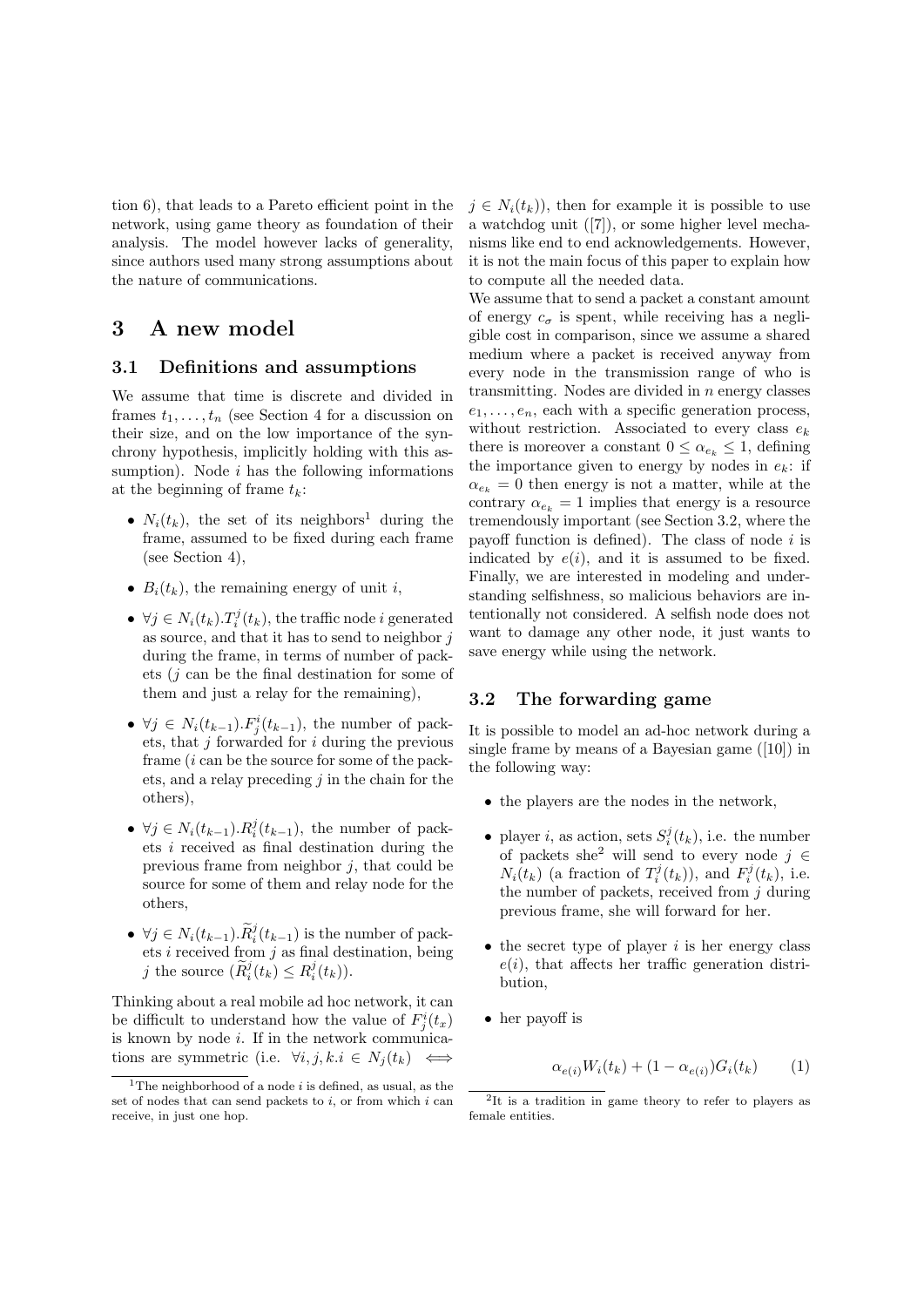tion 6), that leads to a Pareto efficient point in the network, using game theory as foundation of their analysis. The model however lacks of generality, since authors used many strong assumptions about the nature of communications.

### 3 A new model

#### 3.1 Definitions and assumptions

We assume that time is discrete and divided in frames  $t_1, \ldots, t_n$  (see Section 4 for a discussion on their size, and on the low importance of the synchrony hypothesis, implicitly holding with this assumption). Node  $i$  has the following informations at the beginning of frame  $t_k$ :

- $N_i(t_k)$ , the set of its neighbors<sup>1</sup> during the frame, assumed to be fixed during each frame (see Section 4),
- $B_i(t_k)$ , the remaining energy of unit i,
- $\forall j \in N_i(t_k) \cdot T_i^j(t_k)$ , the traffic node i generated as source, and that it has to send to neighbor  $j$ during the frame, in terms of number of packets (j can be the final destination for some of them and just a relay for the remaining),
- $\forall j \in N_i(t_{k-1}). F^i_j(t_{k-1}),$  the number of packets, that  $j$  forwarded for  $i$  during the previous frame (i can be the source for some of the packets, and a relay preceding  $i$  in the chain for the others),
- $\forall j \in N_i(t_{k-1}). R_i^j(t_{k-1}),$  the number of packets i received as final destination during the previous frame from neighbor  $j$ , that could be source for some of them and relay node for the others,
- $\forall j \in N_i(t_{k-1})$ .  $\widetilde{R}_i^j(t_{k-1})$  is the number of packets  $i$  received from  $j$  as final destination, being j the source  $(\widetilde{R}_i^j(t_k) \leq R_i^j(t_k)).$

Thinking about a real mobile ad hoc network, it can be difficult to understand how the value of  $F_j^i(t_x)$ is known by node  $i$ . If in the network communications are symmetric (i.e.  $\forall i, j, k.i \in N_i(t_k)$ )

 $j \in N_i(t_k)$ , then for example it is possible to use a watchdog unit ([7]), or some higher level mechanisms like end to end acknowledgements. However, it is not the main focus of this paper to explain how to compute all the needed data.

We assume that to send a packet a constant amount of energy  $c_{\sigma}$  is spent, while receiving has a negligible cost in comparison, since we assume a shared medium where a packet is received anyway from every node in the transmission range of who is transmitting. Nodes are divided in  $n$  energy classes  $e_1, \ldots, e_n$ , each with a specific generation process, without restriction. Associated to every class  $e_k$ there is moreover a constant  $0 \leq \alpha_{e_k} \leq 1$ , defining the importance given to energy by nodes in  $e_k$ : if  $\alpha_{e_k} = 0$  then energy is not a matter, while at the contrary  $\alpha_{e_k} = 1$  implies that energy is a resource tremendously important (see Section 3.2, where the payoff function is defined). The class of node  $i$  is indicated by  $e(i)$ , and it is assumed to be fixed. Finally, we are interested in modeling and understanding selfishness, so malicious behaviors are intentionally not considered. A selfish node does not want to damage any other node, it just wants to save energy while using the network.

#### 3.2 The forwarding game

It is possible to model an ad-hoc network during a single frame by means of a Bayesian game ([10]) in the following way:

- the players are the nodes in the network,
- player *i*, as action, sets  $S_i^j(t_k)$ , i.e. the number of packets she<sup>2</sup> will send to every node  $j \in$  $N_i(t_k)$  (a fraction of  $T_i^j(t_k)$ ), and  $F_i^j(t_k)$ , i.e. the number of packets, received from  $i$  during previous frame, she will forward for her.
- $\bullet$  the secret type of player *i* is her energy class  $e(i)$ , that affects her traffic generation distribution,
- her payoff is

$$
\alpha_{e(i)}W_i(t_k) + (1 - \alpha_{e(i)})G_i(t_k) \qquad (1)
$$

<sup>&</sup>lt;sup>1</sup>The neighborhood of a node *i* is defined, as usual, as the set of nodes that can send packets to  $i$ , or from which  $i$  can receive, in just one hop.

<sup>2</sup> It is a tradition in game theory to refer to players as female entities.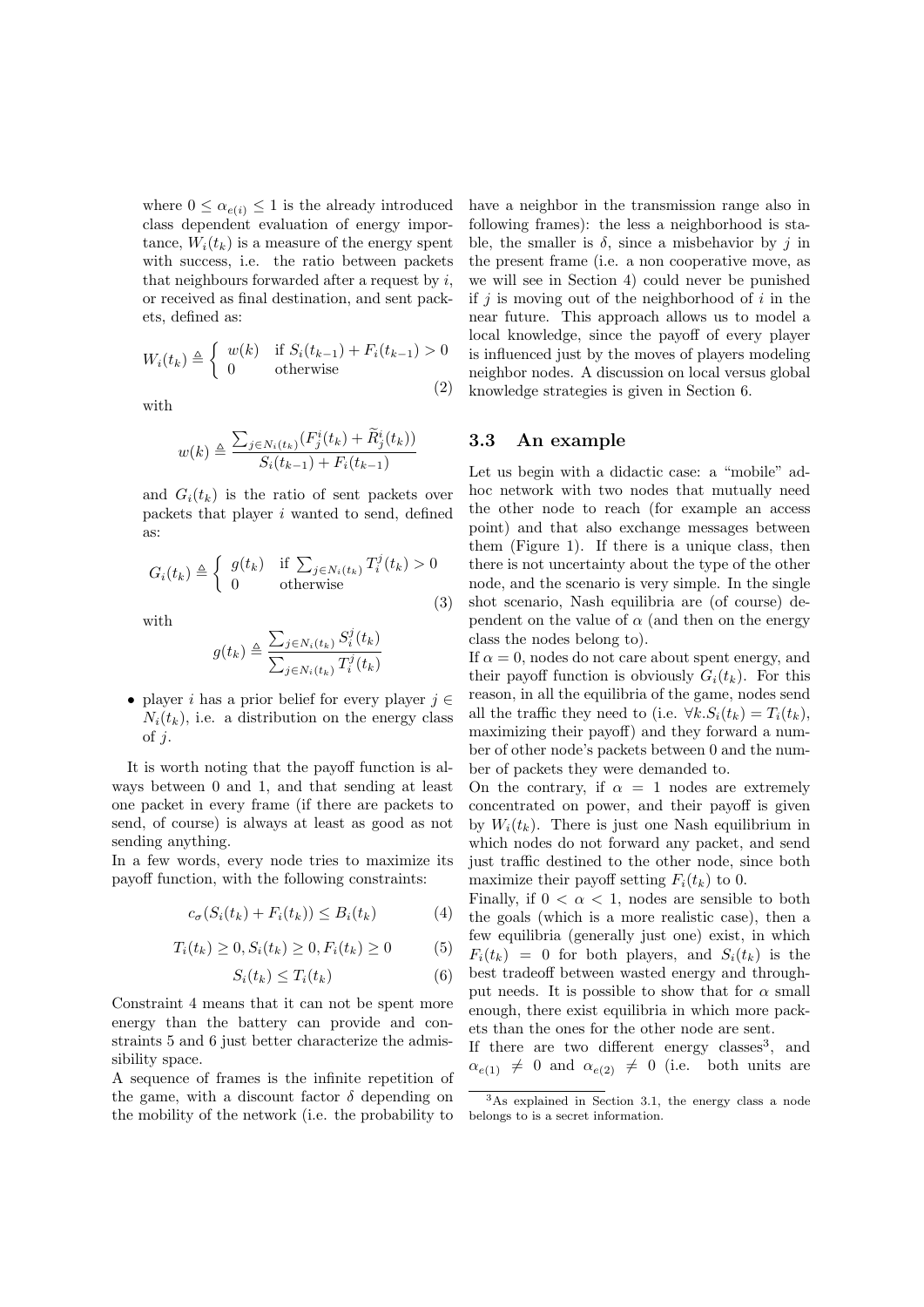where  $0 \leq \alpha_{e(i)} \leq 1$  is the already introduced class dependent evaluation of energy importance,  $W_i(t_k)$  is a measure of the energy spent with success, i.e. the ratio between packets that neighbours forwarded after a request by  $i$ , or received as final destination, and sent packets, defined as:

$$
W_i(t_k) \triangleq \begin{cases} w(k) & \text{if } S_i(t_{k-1}) + F_i(t_{k-1}) > 0 \\ 0 & \text{otherwise} \end{cases}
$$
 (2)

with

$$
w(k) \triangleq \frac{\sum_{j \in N_i(t_k)} (F_j^i(t_k) + \tilde{R}_j^i(t_k))}{S_i(t_{k-1}) + F_i(t_{k-1})}
$$

and  $G_i(t_k)$  is the ratio of sent packets over packets that player i wanted to send, defined as:

$$
G_i(t_k) \triangleq \begin{cases} g(t_k) & \text{if } \sum_{j \in N_i(t_k)} T_i^j(t_k) > 0\\ 0 & \text{otherwise} \end{cases}
$$

with

$$
g(t_k) \triangleq \frac{\sum_{j \in N_i(t_k)} S_i^j(t_k)}{\sum_{j \in N_i(t_k)} T_i^j(t_k)}
$$

• player *i* has a prior belief for every player  $j \in \mathbb{R}$  $N_i(t_k)$ , i.e. a distribution on the energy class of  $j$ .

It is worth noting that the payoff function is always between 0 and 1, and that sending at least one packet in every frame (if there are packets to send, of course) is always at least as good as not sending anything.

In a few words, every node tries to maximize its payoff function, with the following constraints:

$$
c_{\sigma}(S_i(t_k) + F_i(t_k)) \leq B_i(t_k) \tag{4}
$$

$$
T_i(t_k) \ge 0, S_i(t_k) \ge 0, F_i(t_k) \ge 0 \tag{5}
$$

$$
S_i(t_k) \le T_i(t_k) \tag{6}
$$

Constraint 4 means that it can not be spent more energy than the battery can provide and constraints 5 and 6 just better characterize the admissibility space.

A sequence of frames is the infinite repetition of the game, with a discount factor  $\delta$  depending on the mobility of the network (i.e. the probability to

have a neighbor in the transmission range also in following frames): the less a neighborhood is stable, the smaller is  $\delta$ , since a misbehavior by j in the present frame (i.e. a non cooperative move, as we will see in Section 4) could never be punished if  $j$  is moving out of the neighborhood of i in the near future. This approach allows us to model a local knowledge, since the payoff of every player is influenced just by the moves of players modeling neighbor nodes. A discussion on local versus global knowledge strategies is given in Section 6.

#### 3.3 An example

(3)

Let us begin with a didactic case: a "mobile" adhoc network with two nodes that mutually need the other node to reach (for example an access point) and that also exchange messages between them (Figure 1). If there is a unique class, then there is not uncertainty about the type of the other node, and the scenario is very simple. In the single shot scenario, Nash equilibria are (of course) dependent on the value of  $\alpha$  (and then on the energy class the nodes belong to).

If  $\alpha = 0$ , nodes do not care about spent energy, and their payoff function is obviously  $G_i(t_k)$ . For this reason, in all the equilibria of the game, nodes send all the traffic they need to (i.e.  $\forall k. S_i(t_k) = T_i(t_k),$ maximizing their payoff) and they forward a number of other node's packets between 0 and the number of packets they were demanded to.

On the contrary, if  $\alpha = 1$  nodes are extremely concentrated on power, and their payoff is given by  $W_i(t_k)$ . There is just one Nash equilibrium in which nodes do not forward any packet, and send just traffic destined to the other node, since both maximize their payoff setting  $F_i(t_k)$  to 0.

Finally, if  $0 < \alpha < 1$ , nodes are sensible to both the goals (which is a more realistic case), then a few equilibria (generally just one) exist, in which  $F_i(t_k) = 0$  for both players, and  $S_i(t_k)$  is the best tradeoff between wasted energy and throughput needs. It is possible to show that for  $\alpha$  small enough, there exist equilibria in which more packets than the ones for the other node are sent.

If there are two different energy classes<sup>3</sup>, and  $\alpha_{e(1)} \neq 0$  and  $\alpha_{e(2)} \neq 0$  (i.e. both units are

<sup>3</sup>As explained in Section 3.1, the energy class a node belongs to is a secret information.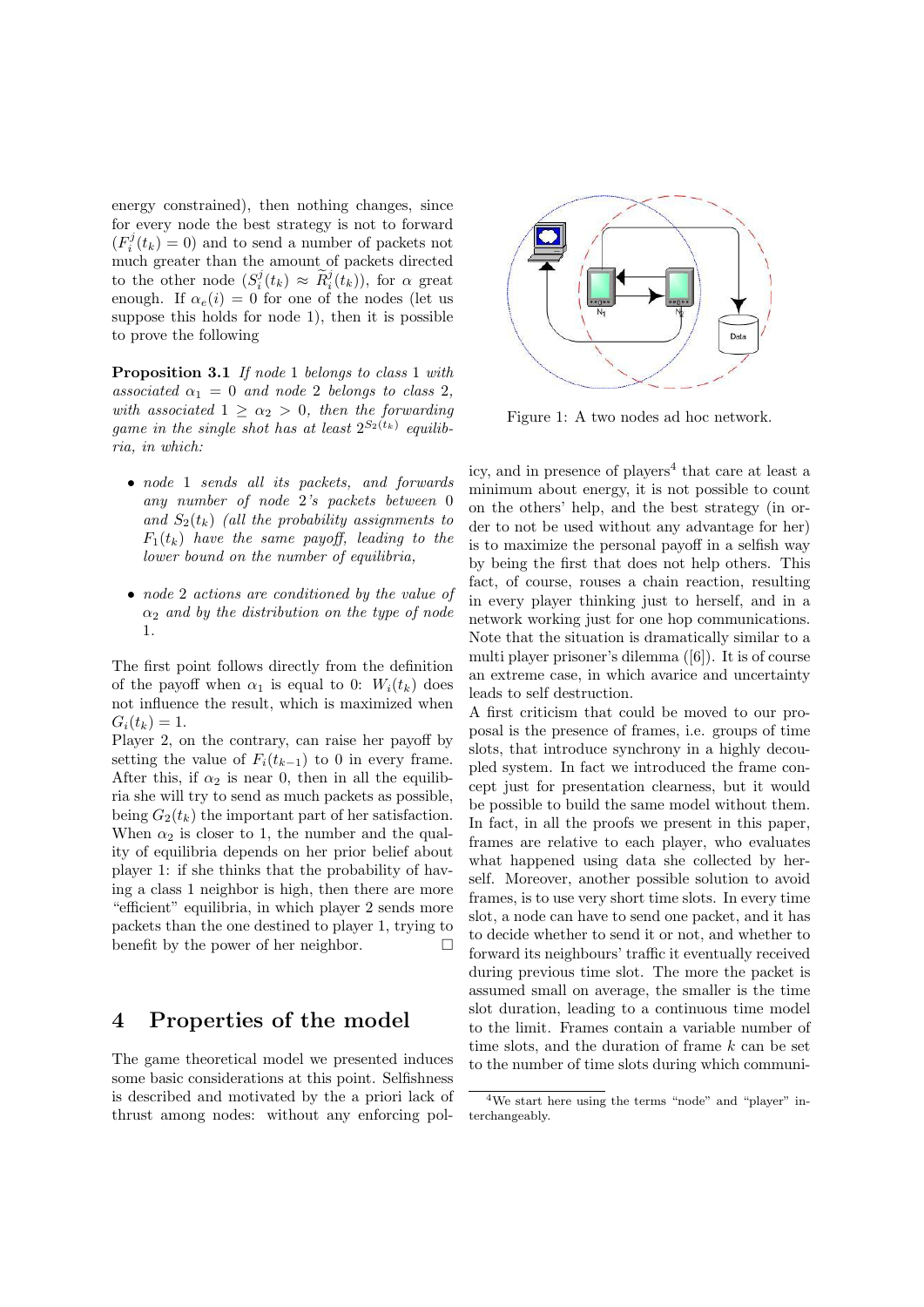energy constrained), then nothing changes, since for every node the best strategy is not to forward  $(F_i^j(t_k) = 0)$  and to send a number of packets not much greater than the amount of packets directed to the other node  $(S_i^j(t_k) \approx \tilde{R}_i^j(t_k))$ , for  $\alpha$  great enough. If  $\alpha_e(i) = 0$  for one of the nodes (let us suppose this holds for node 1), then it is possible to prove the following

Proposition 3.1 If node 1 belongs to class 1 with associated  $\alpha_1 = 0$  and node 2 belongs to class 2, with associated  $1 \geq \alpha_2 > 0$ , then the forwarding game in the single shot has at least  $2^{S_2(t_k)}$  equilibria, in which:

- node 1 sends all its packets, and forwards any number of node 2's packets between 0 and  $S_2(t_k)$  (all the probability assignments to  $F_1(t_k)$  have the same payoff, leading to the lower bound on the number of equilibria,
- node 2 actions are conditioned by the value of  $\alpha_2$  and by the distribution on the type of node 1.

The first point follows directly from the definition of the payoff when  $\alpha_1$  is equal to 0:  $W_i(t_k)$  does not influence the result, which is maximized when  $G_i(t_k) = 1.$ 

Player 2, on the contrary, can raise her payoff by setting the value of  $F_i(t_{k-1})$  to 0 in every frame. After this, if  $\alpha_2$  is near 0, then in all the equilibria she will try to send as much packets as possible, being  $G_2(t_k)$  the important part of her satisfaction. When  $\alpha_2$  is closer to 1, the number and the quality of equilibria depends on her prior belief about player 1: if she thinks that the probability of having a class 1 neighbor is high, then there are more "efficient" equilibria, in which player 2 sends more packets than the one destined to player 1, trying to benefit by the power of her neighbor.  $\Box$ 

# 4 Properties of the model

The game theoretical model we presented induces some basic considerations at this point. Selfishness is described and motivated by the a priori lack of thrust among nodes: without any enforcing pol-



Figure 1: A two nodes ad hoc network.

icy, and in presence of players<sup>4</sup> that care at least a minimum about energy, it is not possible to count on the others' help, and the best strategy (in order to not be used without any advantage for her) is to maximize the personal payoff in a selfish way by being the first that does not help others. This fact, of course, rouses a chain reaction, resulting in every player thinking just to herself, and in a network working just for one hop communications. Note that the situation is dramatically similar to a multi player prisoner's dilemma ([6]). It is of course an extreme case, in which avarice and uncertainty leads to self destruction.

A first criticism that could be moved to our proposal is the presence of frames, i.e. groups of time slots, that introduce synchrony in a highly decoupled system. In fact we introduced the frame concept just for presentation clearness, but it would be possible to build the same model without them. In fact, in all the proofs we present in this paper, frames are relative to each player, who evaluates what happened using data she collected by herself. Moreover, another possible solution to avoid frames, is to use very short time slots. In every time slot, a node can have to send one packet, and it has to decide whether to send it or not, and whether to forward its neighbours' traffic it eventually received during previous time slot. The more the packet is assumed small on average, the smaller is the time slot duration, leading to a continuous time model to the limit. Frames contain a variable number of time slots, and the duration of frame  $k$  can be set to the number of time slots during which communi-

<sup>4</sup>We start here using the terms "node" and "player" interchangeably.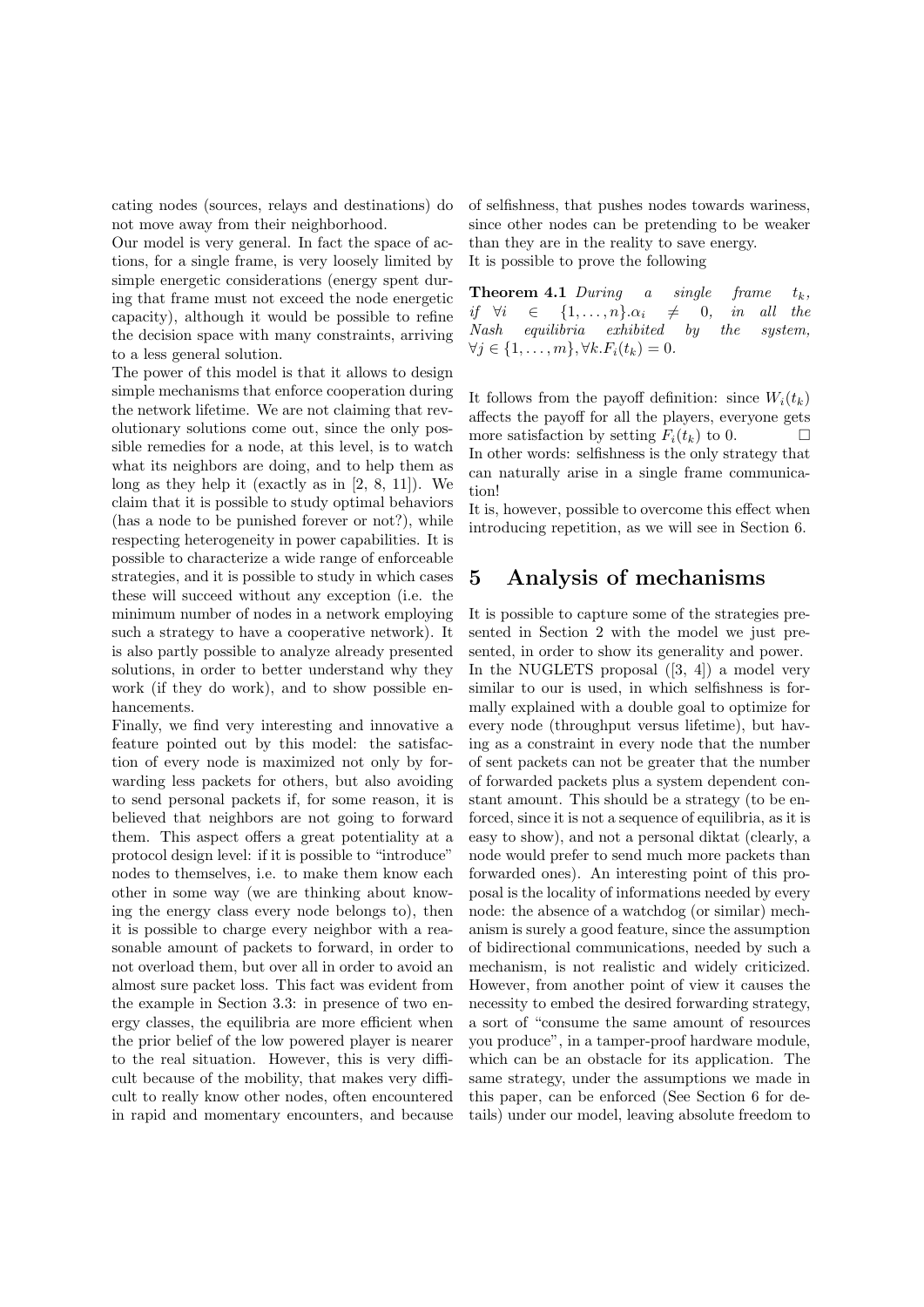cating nodes (sources, relays and destinations) do not move away from their neighborhood.

Our model is very general. In fact the space of actions, for a single frame, is very loosely limited by simple energetic considerations (energy spent during that frame must not exceed the node energetic capacity), although it would be possible to refine the decision space with many constraints, arriving to a less general solution.

The power of this model is that it allows to design simple mechanisms that enforce cooperation during the network lifetime. We are not claiming that revolutionary solutions come out, since the only possible remedies for a node, at this level, is to watch what its neighbors are doing, and to help them as long as they help it (exactly as in [2, 8, 11]). We claim that it is possible to study optimal behaviors (has a node to be punished forever or not?), while respecting heterogeneity in power capabilities. It is possible to characterize a wide range of enforceable strategies, and it is possible to study in which cases these will succeed without any exception (i.e. the minimum number of nodes in a network employing such a strategy to have a cooperative network). It is also partly possible to analyze already presented solutions, in order to better understand why they work (if they do work), and to show possible enhancements.

Finally, we find very interesting and innovative a feature pointed out by this model: the satisfaction of every node is maximized not only by forwarding less packets for others, but also avoiding to send personal packets if, for some reason, it is believed that neighbors are not going to forward them. This aspect offers a great potentiality at a protocol design level: if it is possible to "introduce" nodes to themselves, i.e. to make them know each other in some way (we are thinking about knowing the energy class every node belongs to), then it is possible to charge every neighbor with a reasonable amount of packets to forward, in order to not overload them, but over all in order to avoid an almost sure packet loss. This fact was evident from the example in Section 3.3: in presence of two energy classes, the equilibria are more efficient when the prior belief of the low powered player is nearer to the real situation. However, this is very difficult because of the mobility, that makes very difficult to really know other nodes, often encountered in rapid and momentary encounters, and because of selfishness, that pushes nodes towards wariness, since other nodes can be pretending to be weaker than they are in the reality to save energy. It is possible to prove the following

**Theorem 4.1** During a single frame  $t_k$ ,<br>if  $\forall i \in \{1,\ldots,n\}$ . $\alpha_i \neq 0$ , in all the if  $\forall i \in \{1, \ldots, n\} \cdot \alpha_i \neq 0$ , in all the Nash equilibria exhibited by the system,  $\forall j \in \{1, \ldots, m\}, \forall k. F_i(t_k) = 0.$ 

It follows from the payoff definition: since  $W_i(t_k)$ affects the payoff for all the players, everyone gets more satisfaction by setting  $F_i(t_k)$  to 0. In other words: selfishness is the only strategy that can naturally arise in a single frame communication!

It is, however, possible to overcome this effect when introducing repetition, as we will see in Section 6.

### 5 Analysis of mechanisms

It is possible to capture some of the strategies presented in Section 2 with the model we just presented, in order to show its generality and power. In the NUGLETS proposal  $([3, 4])$  a model very similar to our is used, in which selfishness is formally explained with a double goal to optimize for every node (throughput versus lifetime), but having as a constraint in every node that the number of sent packets can not be greater that the number of forwarded packets plus a system dependent constant amount. This should be a strategy (to be enforced, since it is not a sequence of equilibria, as it is easy to show), and not a personal diktat (clearly, a node would prefer to send much more packets than forwarded ones). An interesting point of this proposal is the locality of informations needed by every node: the absence of a watchdog (or similar) mechanism is surely a good feature, since the assumption of bidirectional communications, needed by such a mechanism, is not realistic and widely criticized. However, from another point of view it causes the necessity to embed the desired forwarding strategy, a sort of "consume the same amount of resources you produce", in a tamper-proof hardware module, which can be an obstacle for its application. The same strategy, under the assumptions we made in this paper, can be enforced (See Section 6 for details) under our model, leaving absolute freedom to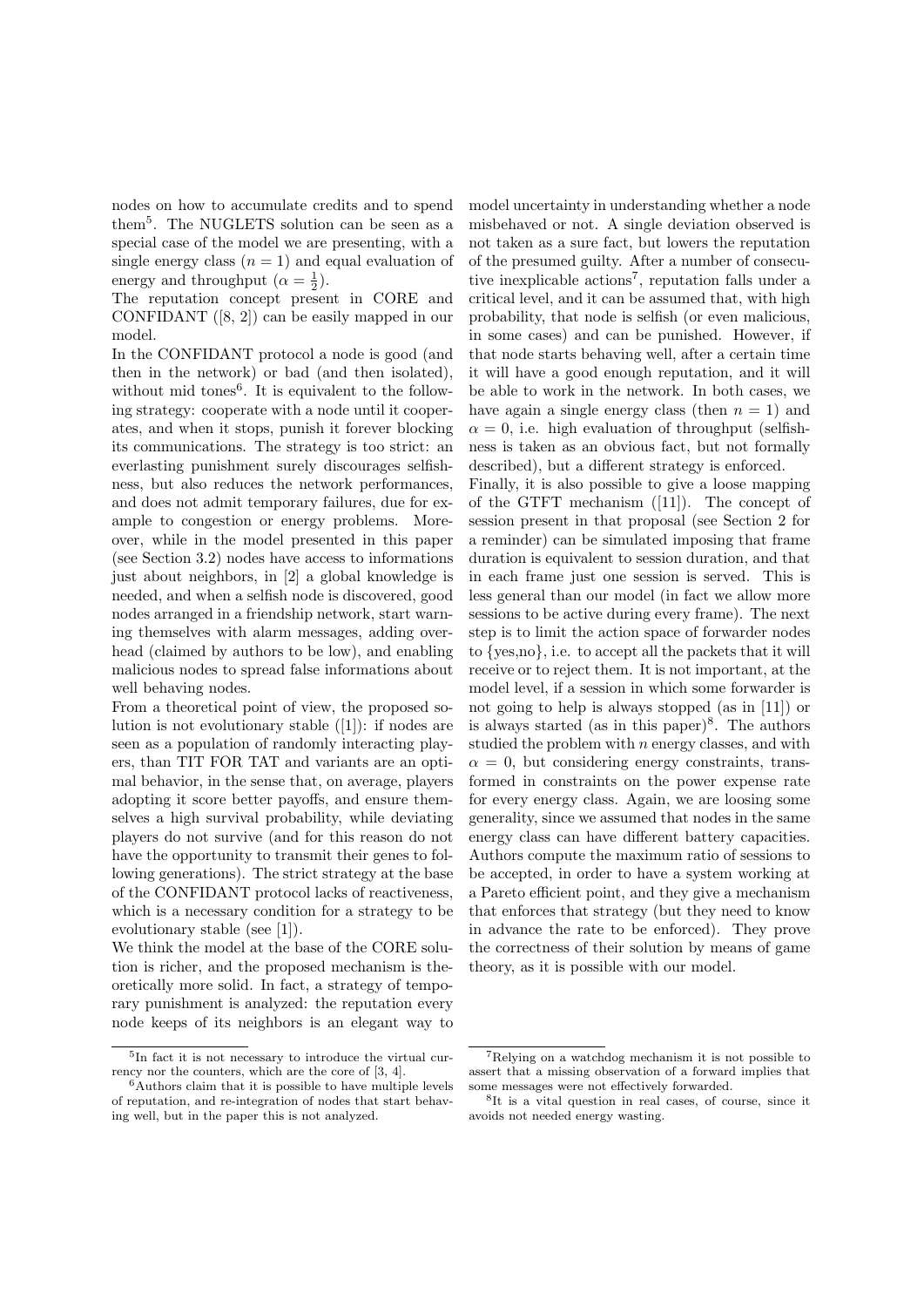nodes on how to accumulate credits and to spend them<sup>5</sup> . The NUGLETS solution can be seen as a special case of the model we are presenting, with a single energy class  $(n = 1)$  and equal evaluation of energy and throughput  $(\alpha = \frac{1}{2})$ .

The reputation concept present in CORE and CONFIDANT ([8, 2]) can be easily mapped in our model.

In the CONFIDANT protocol a node is good (and then in the network) or bad (and then isolated), without mid tones<sup>6</sup>. It is equivalent to the following strategy: cooperate with a node until it cooperates, and when it stops, punish it forever blocking its communications. The strategy is too strict: an everlasting punishment surely discourages selfishness, but also reduces the network performances, and does not admit temporary failures, due for example to congestion or energy problems. Moreover, while in the model presented in this paper (see Section 3.2) nodes have access to informations just about neighbors, in [2] a global knowledge is needed, and when a selfish node is discovered, good nodes arranged in a friendship network, start warning themselves with alarm messages, adding overhead (claimed by authors to be low), and enabling malicious nodes to spread false informations about well behaving nodes.

From a theoretical point of view, the proposed solution is not evolutionary stable ([1]): if nodes are seen as a population of randomly interacting players, than TIT FOR TAT and variants are an optimal behavior, in the sense that, on average, players adopting it score better payoffs, and ensure themselves a high survival probability, while deviating players do not survive (and for this reason do not have the opportunity to transmit their genes to following generations). The strict strategy at the base of the CONFIDANT protocol lacks of reactiveness, which is a necessary condition for a strategy to be evolutionary stable (see [1]).

We think the model at the base of the CORE solution is richer, and the proposed mechanism is theoretically more solid. In fact, a strategy of temporary punishment is analyzed: the reputation every node keeps of its neighbors is an elegant way to model uncertainty in understanding whether a node misbehaved or not. A single deviation observed is not taken as a sure fact, but lowers the reputation of the presumed guilty. After a number of consecutive inexplicable actions<sup>7</sup>, reputation falls under a critical level, and it can be assumed that, with high probability, that node is selfish (or even malicious, in some cases) and can be punished. However, if that node starts behaving well, after a certain time it will have a good enough reputation, and it will be able to work in the network. In both cases, we have again a single energy class (then  $n = 1$ ) and  $\alpha = 0$ , i.e. high evaluation of throughput (selfishness is taken as an obvious fact, but not formally described), but a different strategy is enforced.

Finally, it is also possible to give a loose mapping of the GTFT mechanism ([11]). The concept of session present in that proposal (see Section 2 for a reminder) can be simulated imposing that frame duration is equivalent to session duration, and that in each frame just one session is served. This is less general than our model (in fact we allow more sessions to be active during every frame). The next step is to limit the action space of forwarder nodes to {yes,no}, i.e. to accept all the packets that it will receive or to reject them. It is not important, at the model level, if a session in which some forwarder is not going to help is always stopped (as in [11]) or is always started (as in this paper) $\delta$ . The authors studied the problem with  $n$  energy classes, and with  $\alpha = 0$ , but considering energy constraints, transformed in constraints on the power expense rate for every energy class. Again, we are loosing some generality, since we assumed that nodes in the same energy class can have different battery capacities. Authors compute the maximum ratio of sessions to be accepted, in order to have a system working at a Pareto efficient point, and they give a mechanism that enforces that strategy (but they need to know in advance the rate to be enforced). They prove the correctness of their solution by means of game theory, as it is possible with our model.

<sup>5</sup> In fact it is not necessary to introduce the virtual currency nor the counters, which are the core of [3, 4].

 $6A$ uthors claim that it is possible to have multiple levels of reputation, and re-integration of nodes that start behaving well, but in the paper this is not analyzed.

<sup>7</sup>Relying on a watchdog mechanism it is not possible to assert that a missing observation of a forward implies that some messages were not effectively forwarded.

<sup>8</sup> It is a vital question in real cases, of course, since it avoids not needed energy wasting.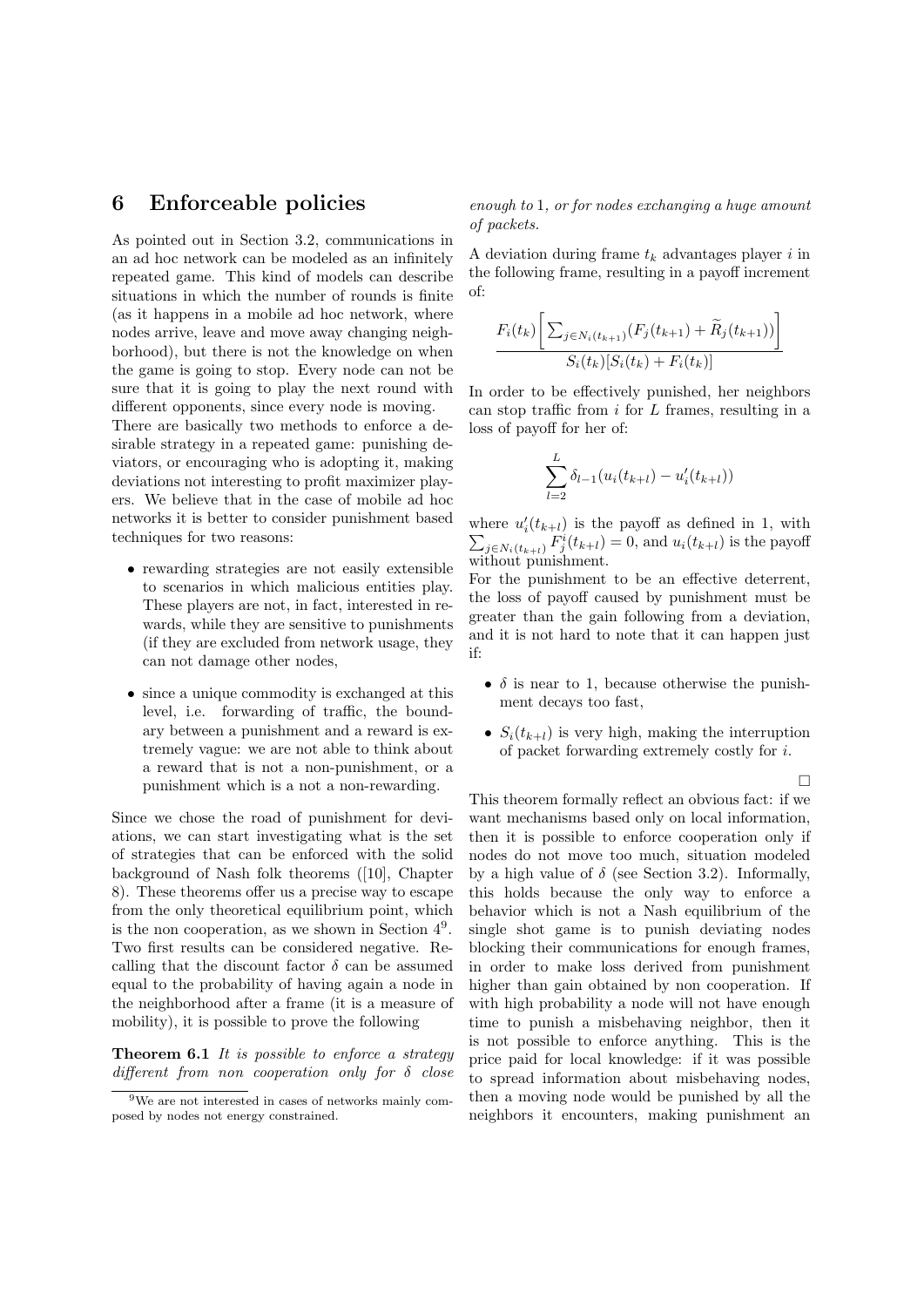### 6 Enforceable policies

As pointed out in Section 3.2, communications in an ad hoc network can be modeled as an infinitely repeated game. This kind of models can describe situations in which the number of rounds is finite (as it happens in a mobile ad hoc network, where nodes arrive, leave and move away changing neighborhood), but there is not the knowledge on when the game is going to stop. Every node can not be sure that it is going to play the next round with different opponents, since every node is moving.

There are basically two methods to enforce a desirable strategy in a repeated game: punishing deviators, or encouraging who is adopting it, making deviations not interesting to profit maximizer players. We believe that in the case of mobile ad hoc networks it is better to consider punishment based techniques for two reasons:

- rewarding strategies are not easily extensible to scenarios in which malicious entities play. These players are not, in fact, interested in rewards, while they are sensitive to punishments (if they are excluded from network usage, they can not damage other nodes,
- since a unique commodity is exchanged at this level, i.e. forwarding of traffic, the boundary between a punishment and a reward is extremely vague: we are not able to think about a reward that is not a non-punishment, or a punishment which is a not a non-rewarding.

Since we chose the road of punishment for deviations, we can start investigating what is the set of strategies that can be enforced with the solid background of Nash folk theorems ([10], Chapter 8). These theorems offer us a precise way to escape from the only theoretical equilibrium point, which is the non cooperation, as we shown in Section 4<sup>9</sup> . Two first results can be considered negative. Recalling that the discount factor  $\delta$  can be assumed equal to the probability of having again a node in the neighborhood after a frame (it is a measure of mobility), it is possible to prove the following

**Theorem 6.1** It is possible to enforce a strategy different from non cooperation only for  $\delta$  close enough to 1, or for nodes exchanging a huge amount of packets.

A deviation during frame  $t_k$  advantages player i in the following frame, resulting in a payoff increment of:

$$
\frac{F_i(t_k) \left[ \sum_{j \in N_i(t_{k+1})} (F_j(t_{k+1}) + \widetilde{R}_j(t_{k+1})) \right]}{S_i(t_k) [S_i(t_k) + F_i(t_k)]}
$$

In order to be effectively punished, her neighbors can stop traffic from  $i$  for  $L$  frames, resulting in a loss of payoff for her of:

$$
\sum_{l=2}^{L} \delta_{l-1}(u_i(t_{k+l}) - u'_i(t_{k+l}))
$$

where  $u'_i(t_{k+l})$  is the payoff as defined in 1, with  $\sum_{j \in N_i(t_{k+l})} F^i_j(t_{k+l}) = 0$ , and  $u_i(t_{k+l})$  is the payoff without punishment.

For the punishment to be an effective deterrent, the loss of payoff caused by punishment must be greater than the gain following from a deviation, and it is not hard to note that it can happen just if:

- $\delta$  is near to 1, because otherwise the punishment decays too fast,
- $S_i(t_{k+l})$  is very high, making the interruption of packet forwarding extremely costly for i.

 $\Box$ 

This theorem formally reflect an obvious fact: if we want mechanisms based only on local information, then it is possible to enforce cooperation only if nodes do not move too much, situation modeled by a high value of  $\delta$  (see Section 3.2). Informally, this holds because the only way to enforce a behavior which is not a Nash equilibrium of the single shot game is to punish deviating nodes blocking their communications for enough frames, in order to make loss derived from punishment higher than gain obtained by non cooperation. If with high probability a node will not have enough time to punish a misbehaving neighbor, then it is not possible to enforce anything. This is the price paid for local knowledge: if it was possible to spread information about misbehaving nodes, then a moving node would be punished by all the neighbors it encounters, making punishment an

<sup>9</sup>We are not interested in cases of networks mainly composed by nodes not energy constrained.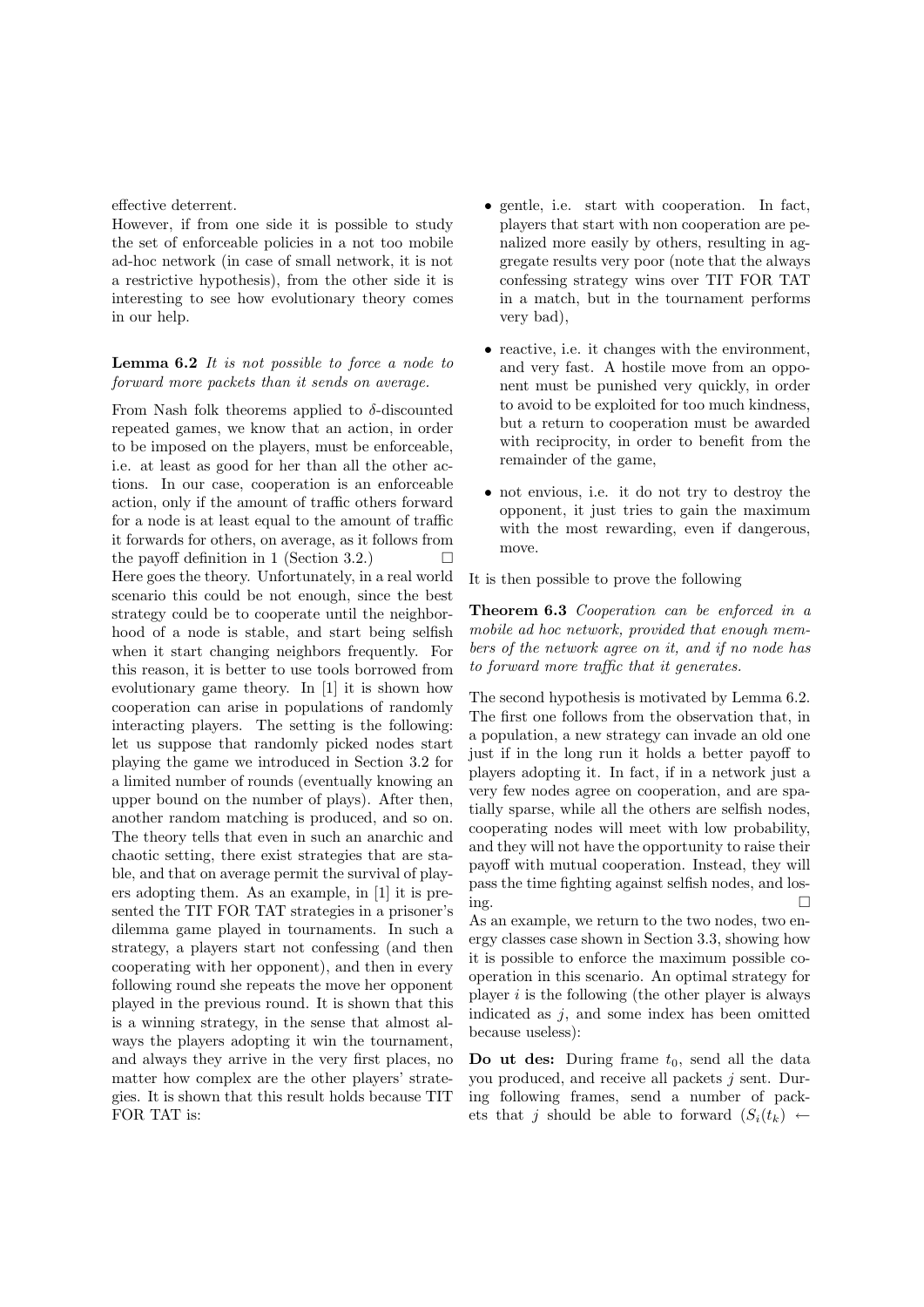effective deterrent.

However, if from one side it is possible to study the set of enforceable policies in a not too mobile ad-hoc network (in case of small network, it is not a restrictive hypothesis), from the other side it is interesting to see how evolutionary theory comes in our help.

#### Lemma 6.2 It is not possible to force a node to forward more packets than it sends on average.

From Nash folk theorems applied to  $\delta$ -discounted repeated games, we know that an action, in order to be imposed on the players, must be enforceable, i.e. at least as good for her than all the other actions. In our case, cooperation is an enforceable action, only if the amount of traffic others forward for a node is at least equal to the amount of traffic it forwards for others, on average, as it follows from the payoff definition in 1 (Section 3.2.)  $\Box$ Here goes the theory. Unfortunately, in a real world scenario this could be not enough, since the best strategy could be to cooperate until the neighborhood of a node is stable, and start being selfish when it start changing neighbors frequently. For this reason, it is better to use tools borrowed from evolutionary game theory. In [1] it is shown how cooperation can arise in populations of randomly interacting players. The setting is the following: let us suppose that randomly picked nodes start playing the game we introduced in Section 3.2 for a limited number of rounds (eventually knowing an upper bound on the number of plays). After then, another random matching is produced, and so on. The theory tells that even in such an anarchic and chaotic setting, there exist strategies that are stable, and that on average permit the survival of players adopting them. As an example, in [1] it is presented the TIT FOR TAT strategies in a prisoner's dilemma game played in tournaments. In such a strategy, a players start not confessing (and then cooperating with her opponent), and then in every following round she repeats the move her opponent played in the previous round. It is shown that this is a winning strategy, in the sense that almost always the players adopting it win the tournament, and always they arrive in the very first places, no matter how complex are the other players' strategies. It is shown that this result holds because TIT FOR TAT is:

- gentle, i.e. start with cooperation. In fact, players that start with non cooperation are penalized more easily by others, resulting in aggregate results very poor (note that the always confessing strategy wins over TIT FOR TAT in a match, but in the tournament performs very bad),
- reactive, i.e. it changes with the environment, and very fast. A hostile move from an opponent must be punished very quickly, in order to avoid to be exploited for too much kindness, but a return to cooperation must be awarded with reciprocity, in order to benefit from the remainder of the game,
- not envious, i.e. it do not try to destroy the opponent, it just tries to gain the maximum with the most rewarding, even if dangerous, move.

It is then possible to prove the following

Theorem 6.3 Cooperation can be enforced in a mobile ad hoc network, provided that enough members of the network agree on it, and if no node has to forward more traffic that it generates.

The second hypothesis is motivated by Lemma 6.2. The first one follows from the observation that, in a population, a new strategy can invade an old one just if in the long run it holds a better payoff to players adopting it. In fact, if in a network just a very few nodes agree on cooperation, and are spatially sparse, while all the others are selfish nodes, cooperating nodes will meet with low probability, and they will not have the opportunity to raise their payoff with mutual cooperation. Instead, they will pass the time fighting against selfish nodes, and losing.

As an example, we return to the two nodes, two energy classes case shown in Section 3.3, showing how it is possible to enforce the maximum possible cooperation in this scenario. An optimal strategy for player  $i$  is the following (the other player is always indicated as  $j$ , and some index has been omitted because useless):

Do ut des: During frame  $t_0$ , send all the data you produced, and receive all packets  $j$  sent. During following frames, send a number of packets that j should be able to forward  $(S_i(t_k) \leftarrow$